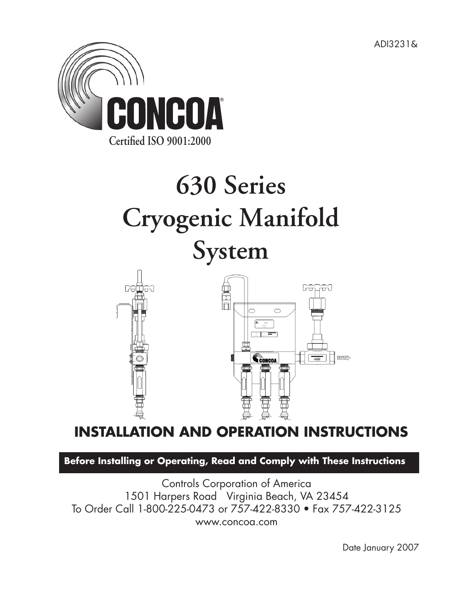ADI32317



# **630 Series Cryogenic Manifold System**



# **INSTALLATION AND OPERATION INSTRUCTIONS**

**Before Installing or Operating, Read and Comply with These Instructions**

Controls Corporation of America 1501 Harpers Road Virginia Beach, VA 23454 To Order Call 1-800-225-0473 or 757-422-8330 • Fax 757-422-3125 www.concoa.com

Date January 2007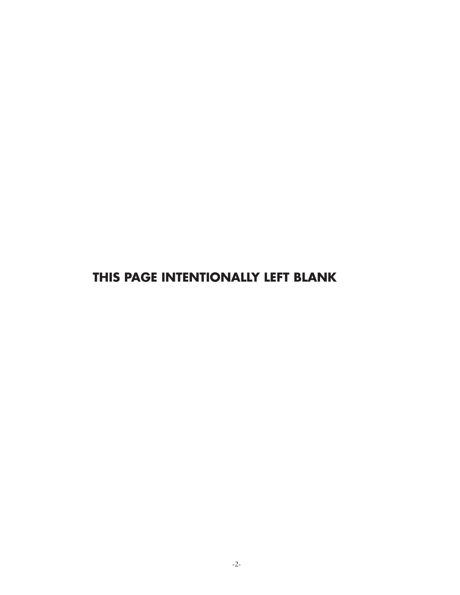# **THIS PAGE INTENTIONALLY LEFT BLANK**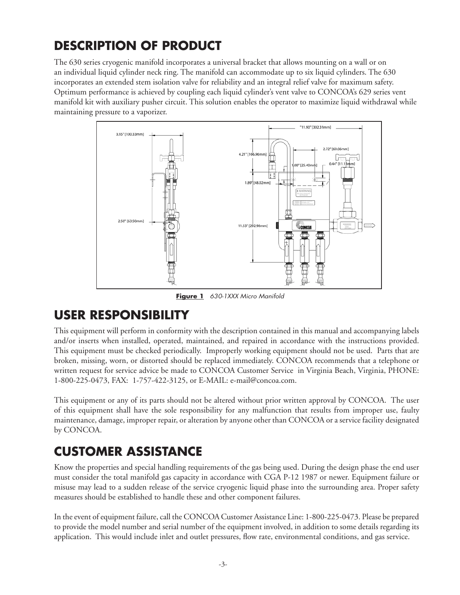# **DESCRIPTION OF PRODUCT**

The 630 series cryogenic manifold incorporates a universal bracket that allows mounting on a wall or on an individual liquid cylinder neck ring. The manifold can accommodate up to six liquid cylinders. The 630 incorporates an extended stem isolation valve for reliability and an integral relief valve for maximum safety. Optimum performance is achieved by coupling each liquid cylinder's vent valve to CONCOA's 629 series vent manifold kit with auxiliary pusher circuit. This solution enables the operator to maximize liquid withdrawal while maintaining pressure to a vaporizer.



**Figure 1** *630-1XXX Micro Manifold*

# **USER RESPONSIBILITY**

This equipment will perform in conformity with the description contained in this manual and accompanying labels and/or inserts when installed, operated, maintained, and repaired in accordance with the instructions provided. This equipment must be checked periodically. Improperly working equipment should not be used. Parts that are broken, missing, worn, or distorted should be replaced immediately. CONCOA recommends that a telephone or written request for service advice be made to CONCOA Customer Service in Virginia Beach, Virginia, PHONE: 1-800-225-0473, FAX: 1-757-422-3125, or E-MAIL: e-mail@concoa.com.

This equipment or any of its parts should not be altered without prior written approval by CONCOA. The user of this equipment shall have the sole responsibility for any malfunction that results from improper use, faulty maintenance, damage, improper repair, or alteration by anyone other than CONCOA or a service facility designated by CONCOA.

# **CUSTOMER ASSISTANCE**

Know the properties and special handling requirements of the gas being used. During the design phase the end user must consider the total manifold gas capacity in accordance with CGA P-12 1987 or newer. Equipment failure or misuse may lead to a sudden release of the service cryogenic liquid phase into the surrounding area. Proper safety measures should be established to handle these and other component failures.

In the event of equipment failure, call the CONCOA Customer Assistance Line: 1-800-225-0473. Please be prepared to provide the model number and serial number of the equipment involved, in addition to some details regarding its application. This would include inlet and outlet pressures, flow rate, environmental conditions, and gas service.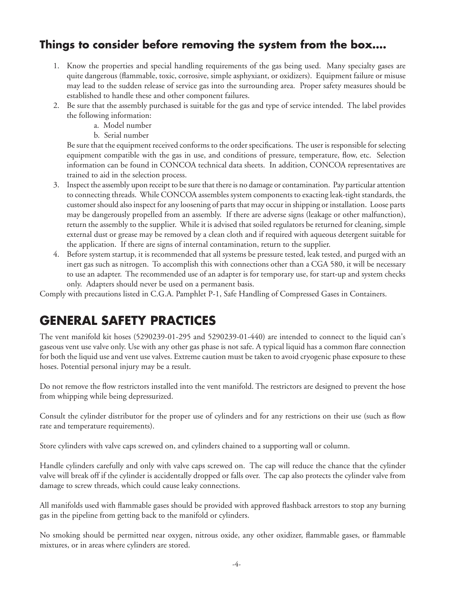## **Things to consider before removing the system from the box….**

- 1. Know the properties and special handling requirements of the gas being used. Many specialty gases are quite dangerous (flammable, toxic, corrosive, simple asphyxiant, or oxidizers). Equipment failure or misuse may lead to the sudden release of service gas into the surrounding area. Proper safety measures should be established to handle these and other component failures.
- 2. Be sure that the assembly purchased is suitable for the gas and type of service intended. The label provides the following information:
	- a. Model number
	- b. Serial number

Be sure that the equipment received conforms to the order specifications. The user is responsible for selecting equipment compatible with the gas in use, and conditions of pressure, temperature, flow, etc. Selection information can be found in CONCOA technical data sheets. In addition, CONCOA representatives are trained to aid in the selection process.

- 3. Inspect the assembly upon receipt to be sure that there is no damage or contamination. Pay particular attention to connecting threads. While CONCOA assembles system components to exacting leak-tight standards, the customer should also inspect for any loosening of parts that may occur in shipping or installation. Loose parts may be dangerously propelled from an assembly. If there are adverse signs (leakage or other malfunction), return the assembly to the supplier. While it is advised that soiled regulators be returned for cleaning, simple external dust or grease may be removed by a clean cloth and if required with aqueous detergent suitable for the application. If there are signs of internal contamination, return to the supplier.
- 4. Before system startup, it is recommended that all systems be pressure tested, leak tested, and purged with an inert gas such as nitrogen. To accomplish this with connections other than a CGA 580, it will be necessary to use an adapter. The recommended use of an adapter is for temporary use, for start-up and system checks only. Adapters should never be used on a permanent basis.

Comply with precautions listed in C.G.A. Pamphlet P-1, Safe Handling of Compressed Gases in Containers.

# **GENERAL SAFETY PRACTICES**

The vent manifold kit hoses (5290239-01-295 and 5290239-01-440) are intended to connect to the liquid can's gaseous vent use valve only. Use with any other gas phase is not safe. A typical liquid has a common flare connection for both the liquid use and vent use valves. Extreme caution must be taken to avoid cryogenic phase exposure to these hoses. Potential personal injury may be a result.

Do not remove the flow restrictors installed into the vent manifold. The restrictors are designed to prevent the hose from whipping while being depressurized.

Consult the cylinder distributor for the proper use of cylinders and for any restrictions on their use (such as flow rate and temperature requirements).

Store cylinders with valve caps screwed on, and cylinders chained to a supporting wall or column.

Handle cylinders carefully and only with valve caps screwed on. The cap will reduce the chance that the cylinder valve will break off if the cylinder is accidentally dropped or falls over. The cap also protects the cylinder valve from damage to screw threads, which could cause leaky connections.

All manifolds used with flammable gases should be provided with approved flashback arrestors to stop any burning gas in the pipeline from getting back to the manifold or cylinders.

No smoking should be permitted near oxygen, nitrous oxide, any other oxidizer, flammable gases, or flammable mixtures, or in areas where cylinders are stored.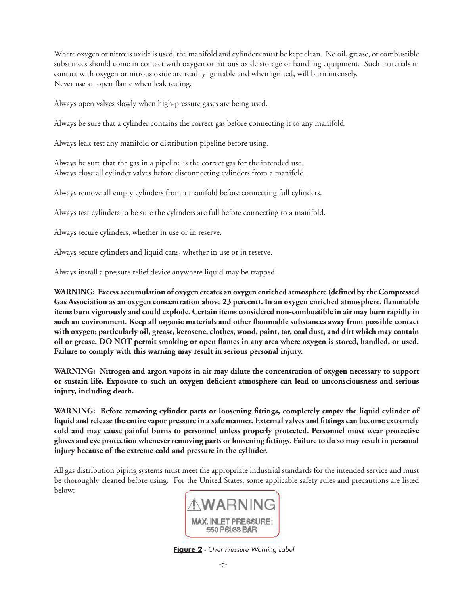Where oxygen or nitrous oxide is used, the manifold and cylinders must be kept clean. No oil, grease, or combustible substances should come in contact with oxygen or nitrous oxide storage or handling equipment. Such materials in contact with oxygen or nitrous oxide are readily ignitable and when ignited, will burn intensely. Never use an open flame when leak testing.

Always open valves slowly when high-pressure gases are being used.

Always be sure that a cylinder contains the correct gas before connecting it to any manifold.

Always leak-test any manifold or distribution pipeline before using.

Always be sure that the gas in a pipeline is the correct gas for the intended use. Always close all cylinder valves before disconnecting cylinders from a manifold.

Always remove all empty cylinders from a manifold before connecting full cylinders.

Always test cylinders to be sure the cylinders are full before connecting to a manifold.

Always secure cylinders, whether in use or in reserve.

Always secure cylinders and liquid cans, whether in use or in reserve.

Always install a pressure relief device anywhere liquid may be trapped.

**WARNING: Excess accumulation of oxygen creates an oxygen enriched atmosphere (defined by the Compressed Gas Association as an oxygen concentration above 23 percent). In an oxygen enriched atmosphere, flammable items burn vigorously and could explode. Certain items considered non-combustible in air may burn rapidly in such an environment. Keep all organic materials and other flammable substances away from possible contact with oxygen; particularly oil, grease, kerosene, clothes, wood, paint, tar, coal dust, and dirt which may contain oil or grease. DO NOT permit smoking or open flames in any area where oxygen is stored, handled, or used. Failure to comply with this warning may result in serious personal injury.**

**WARNING: Nitrogen and argon vapors in air may dilute the concentration of oxygen necessary to support or sustain life. Exposure to such an oxygen deficient atmosphere can lead to unconsciousness and serious injury, including death.**

**WARNING: Before removing cylinder parts or loosening fittings, completely empty the liquid cylinder of liquid and release the entire vapor pressure in a safe manner. External valves and fittings can become extremely cold and may cause painful burns to personnel unless properly protected. Personnel must wear protective gloves and eye protection whenever removing parts or loosening fittings. Failure to do so may result in personal injury because of the extreme cold and pressure in the cylinder.**

All gas distribution piping systems must meet the appropriate industrial standards for the intended service and must be thoroughly cleaned before using. For the United States, some applicable safety rules and precautions are listed below:



**Figure 2** - *Over Pressure Warning Label*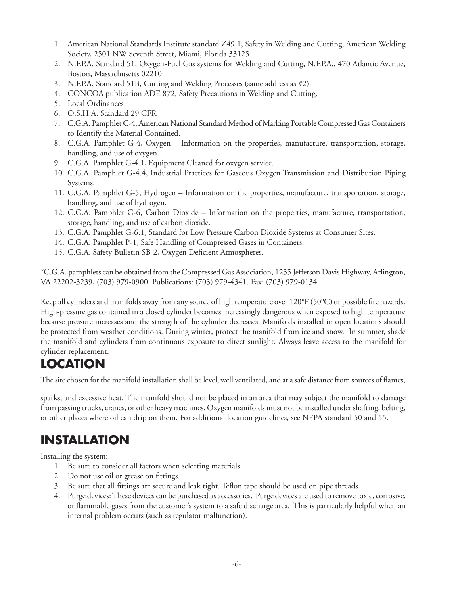- 1. American National Standards Institute standard Z49.1, Safety in Welding and Cutting, American Welding Society, 2501 NW Seventh Street, Miami, Florida 33125
- 2. N.F.P.A. Standard 51, Oxygen-Fuel Gas systems for Welding and Cutting, N.F.P.A., 470 Atlantic Avenue, Boston, Massachusetts 02210
- 3. N.F.P.A. Standard 51B, Cutting and Welding Processes (same address as #2).
- 4. CONCOA publication ADE 872, Safety Precautions in Welding and Cutting.
- 5. Local Ordinances
- 6. O.S.H.A. Standard 29 CFR
- 7. C.G.A. Pamphlet C-4, American National Standard Method of Marking Portable Compressed Gas Containers to Identify the Material Contained.
- 8. C.G.A. Pamphlet G-4, Oxygen Information on the properties, manufacture, transportation, storage, handling, and use of oxygen.
- 9. C.G.A. Pamphlet G-4.1, Equipment Cleaned for oxygen service.
- 10. C.G.A. Pamphlet G-4.4, Industrial Practices for Gaseous Oxygen Transmission and Distribution Piping Systems.
- 11. C.G.A. Pamphlet G-5, Hydrogen Information on the properties, manufacture, transportation, storage, handling, and use of hydrogen.
- 12. C.G.A. Pamphlet G-6, Carbon Dioxide Information on the properties, manufacture, transportation, storage, handling, and use of carbon dioxide.
- 13. C.G.A. Pamphlet G-6.1, Standard for Low Pressure Carbon Dioxide Systems at Consumer Sites.
- 14. C.G.A. Pamphlet P-1, Safe Handling of Compressed Gases in Containers.
- 15. C.G.A. Safety Bulletin SB-2, Oxygen Deficient Atmospheres.

\*C.G.A. pamphlets can be obtained from the Compressed Gas Association, 1235 Jefferson Davis Highway, Arlington, VA 22202-3239, (703) 979-0900. Publications: (703) 979-4341. Fax: (703) 979-0134.

Keep all cylinders and manifolds away from any source of high temperature over 120°F (50°C) or possible fire hazards. High-pressure gas contained in a closed cylinder becomes increasingly dangerous when exposed to high temperature because pressure increases and the strength of the cylinder decreases. Manifolds installed in open locations should be protected from weather conditions. During winter, protect the manifold from ice and snow. In summer, shade the manifold and cylinders from continuous exposure to direct sunlight. Always leave access to the manifold for cylinder replacement.

# **LOCATION**

The site chosen for the manifold installation shall be level, well ventilated, and at a safe distance from sources of flames,

sparks, and excessive heat. The manifold should not be placed in an area that may subject the manifold to damage from passing trucks, cranes, or other heavy machines. Oxygen manifolds must not be installed under shafting, belting, or other places where oil can drip on them. For additional location guidelines, see NFPA standard 50 and 55.

# **INSTALLATION**

Installing the system:

- 1. Be sure to consider all factors when selecting materials.
- 2. Do not use oil or grease on fittings.
- 3. Be sure that all fittings are secure and leak tight. Teflon tape should be used on pipe threads.
- 4. Purge devices: These devices can be purchased as accessories. Purge devices are used to remove toxic, corrosive, or flammable gases from the customer's system to a safe discharge area. This is particularly helpful when an internal problem occurs (such as regulator malfunction).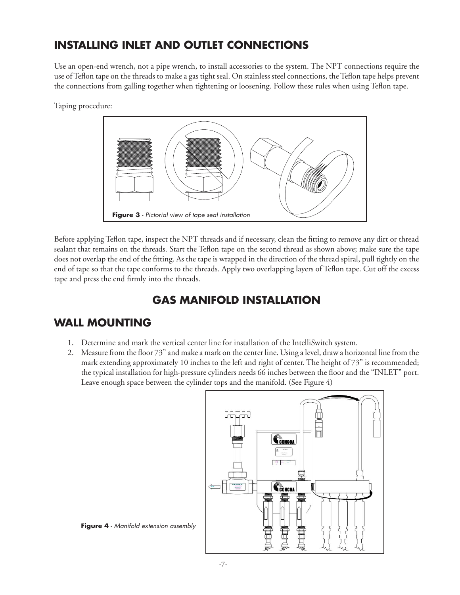## **INSTALLING INLET AND OUTLET CONNECTIONS**

Use an open-end wrench, not a pipe wrench, to install accessories to the system. The NPT connections require the use of Teflon tape on the threads to make a gas tight seal. On stainless steel connections, the Teflon tape helps prevent the connections from galling together when tightening or loosening. Follow these rules when using Teflon tape.

Taping procedure:



Before applying Teflon tape, inspect the NPT threads and if necessary, clean the fitting to remove any dirt or thread sealant that remains on the threads. Start the Teflon tape on the second thread as shown above; make sure the tape does not overlap the end of the fitting. As the tape is wrapped in the direction of the thread spiral, pull tightly on the end of tape so that the tape conforms to the threads. Apply two overlapping layers of Teflon tape. Cut off the excess tape and press the end firmly into the threads.

## **GAS MANIFOLD INSTALLATION**

## **WALL MOUNTING**

- 1. Determine and mark the vertical center line for installation of the IntelliSwitch system.
- 2. Measure from the floor 73" and make a mark on the center line. Using a level, draw a horizontal line from the mark extending approximately 10 inches to the left and right of center. The height of 73" is recommended; the typical installation for high-pressure cylinders needs 66 inches between the floor and the "INLET" port. Leave enough space between the cylinder tops and the manifold. (See Figure 4)



**Figure 4** - *Manifold extension assembly*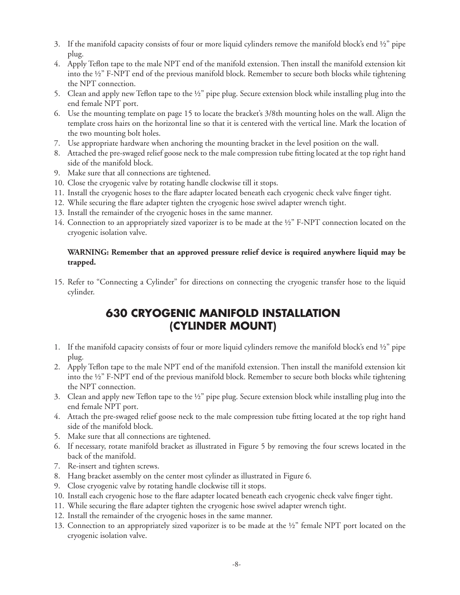- 3. If the manifold capacity consists of four or more liquid cylinders remove the manifold block's end ½" pipe plug.
- 4. Apply Teflon tape to the male NPT end of the manifold extension. Then install the manifold extension kit into the ½" F-NPT end of the previous manifold block. Remember to secure both blocks while tightening the NPT connection.
- 5. Clean and apply new Teflon tape to the ½" pipe plug. Secure extension block while installing plug into the end female NPT port.
- 6. Use the mounting template on page 15 to locate the bracket's 3/8th mounting holes on the wall. Align the template cross hairs on the horizontal line so that it is centered with the vertical line. Mark the location of the two mounting bolt holes.
- 7. Use appropriate hardware when anchoring the mounting bracket in the level position on the wall.
- 8. Attached the pre-swaged relief goose neck to the male compression tube fitting located at the top right hand side of the manifold block.
- 9. Make sure that all connections are tightened.
- 10. Close the cryogenic valve by rotating handle clockwise till it stops.
- 11. Install the cryogenic hoses to the flare adapter located beneath each cryogenic check valve finger tight.
- 12. While securing the flare adapter tighten the cryogenic hose swivel adapter wrench tight.
- 13. Install the remainder of the cryogenic hoses in the same manner.
- 14. Connection to an appropriately sized vaporizer is to be made at the ½" F-NPT connection located on the cryogenic isolation valve.

#### **WARNING: Remember that an approved pressure relief device is required anywhere liquid may be trapped.**

15. Refer to "Connecting a Cylinder" for directions on connecting the cryogenic transfer hose to the liquid cylinder.

## **630 CRYOGENIC MANIFOLD INSTALLATION (CYLINDER MOUNT)**

- 1. If the manifold capacity consists of four or more liquid cylinders remove the manifold block's end ½" pipe plug.
- 2. Apply Teflon tape to the male NPT end of the manifold extension. Then install the manifold extension kit into the ½" F-NPT end of the previous manifold block. Remember to secure both blocks while tightening the NPT connection.
- 3. Clean and apply new Teflon tape to the ½" pipe plug. Secure extension block while installing plug into the end female NPT port.
- 4. Attach the pre-swaged relief goose neck to the male compression tube fitting located at the top right hand side of the manifold block.
- 5. Make sure that all connections are tightened.
- 6. If necessary, rotate manifold bracket as illustrated in Figure 5 by removing the four screws located in the back of the manifold.
- 7. Re-insert and tighten screws.
- 8. Hang bracket assembly on the center most cylinder as illustrated in Figure 6.
- 9. Close cryogenic valve by rotating handle clockwise till it stops.
- 10. Install each cryogenic hose to the flare adapter located beneath each cryogenic check valve finger tight.
- 11. While securing the flare adapter tighten the cryogenic hose swivel adapter wrench tight.
- 12. Install the remainder of the cryogenic hoses in the same manner.
- 13. Connection to an appropriately sized vaporizer is to be made at the ½" female NPT port located on the cryogenic isolation valve.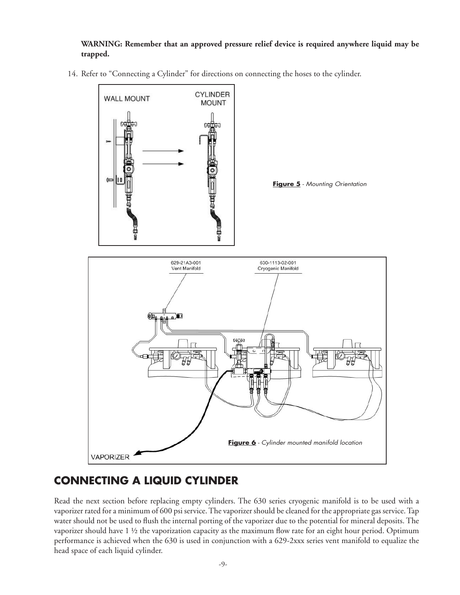#### **WARNING: Remember that an approved pressure relief device is required anywhere liquid may be trapped.**

14. Refer to "Connecting a Cylinder" for directions on connecting the hoses to the cylinder.



### **CONNECTING A LIQUID CYLINDER**

Read the next section before replacing empty cylinders. The 630 series cryogenic manifold is to be used with a vaporizer rated for a minimum of 600 psi service. The vaporizer should be cleaned for the appropriate gas service. Tap water should not be used to flush the internal porting of the vaporizer due to the potential for mineral deposits. The vaporizer should have 1 ½ the vaporization capacity as the maximum flow rate for an eight hour period. Optimum performance is achieved when the 630 is used in conjunction with a 629-2xxx series vent manifold to equalize the head space of each liquid cylinder.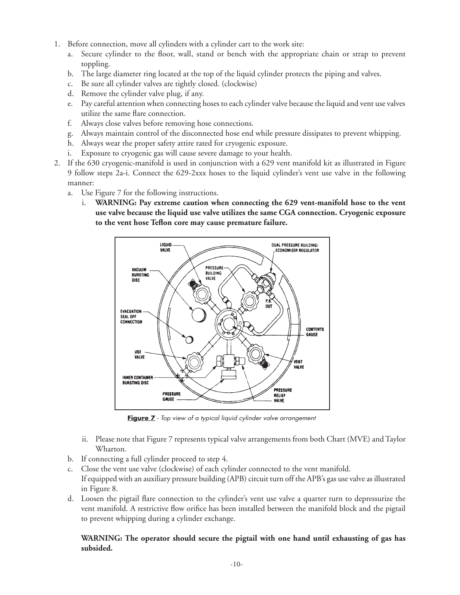- 1. Before connection, move all cylinders with a cylinder cart to the work site:
	- a. Secure cylinder to the floor, wall, stand or bench with the appropriate chain or strap to prevent toppling.
	- b. The large diameter ring located at the top of the liquid cylinder protects the piping and valves.
	- c. Be sure all cylinder valves are tightly closed. (clockwise)
	- d. Remove the cylinder valve plug, if any.
	- e. Pay careful attention when connecting hoses to each cylinder valve because the liquid and vent use valves utilize the same flare connection.
	- f. Always close valves before removing hose connections.
	- g. Always maintain control of the disconnected hose end while pressure dissipates to prevent whipping.
	- h. Always wear the proper safety attire rated for cryogenic exposure.
	- i. Exposure to cryogenic gas will cause severe damage to your health.
- 2. If the 630 cryogenic-manifold is used in conjunction with a 629 vent manifold kit as illustrated in Figure 9 follow steps 2a-i. Connect the 629-2xxx hoses to the liquid cylinder's vent use valve in the following manner:
	- a. Use Figure 7 for the following instructions.
		- i. **WARNING: Pay extreme caution when connecting the 629 vent-manifold hose to the vent use valve because the liquid use valve utilizes the same CGA connection. Cryogenic exposure to the vent hose Teflon core may cause premature failure.**



**Figure 7** - *Top view of a typical liquid cylinder valve arrangement*

- ii. Please note that Figure 7 represents typical valve arrangements from both Chart (MVE) and Taylor Wharton.
- b. If connecting a full cylinder proceed to step 4.
- c. Close the vent use valve (clockwise) of each cylinder connected to the vent manifold. If equipped with an auxiliary pressure building (APB) circuit turn off the APB's gas use valve as illustrated in Figure 8.
- d. Loosen the pigtail flare connection to the cylinder's vent use valve a quarter turn to depressurize the vent manifold. A restrictive flow orifice has been installed between the manifold block and the pigtail to prevent whipping during a cylinder exchange.

**WARNING: The operator should secure the pigtail with one hand until exhausting of gas has subsided.**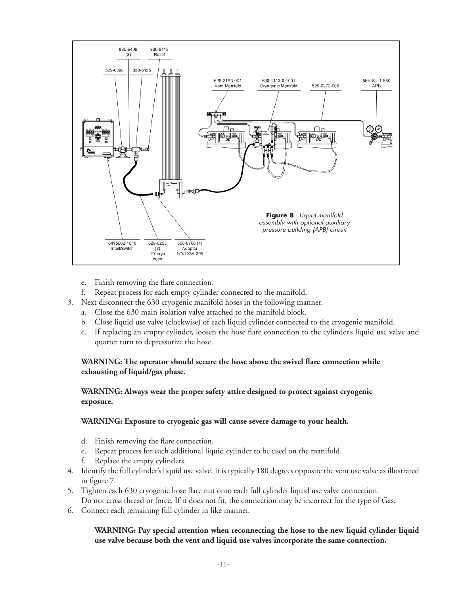

- e. Finish removing the flare connection.
- f. Repeat process for each empty cylinder connected to the manifold.
- 3. Next disconnect the 630 cryogenic manifold hoses in the following manner.
	- a. Close the 630 main isolation valve attached to the manifold block.
	- b. Close liquid use valve (clockwise) of each liquid cylinder connected to the cryogenic manifold.
	- c. If replacing an empty cylinder, loosen the hose flare connection to the cylinder's liquid use valve and quarter turn to depressurize the hose.

#### **WARNING: The operator should secure the hose above the swivel flare connection while exhausting of liquid/gas phase.**

#### **WARNING: Always wear the proper safety attire designed to protect against cryogenic exposure.**

#### **WARNING: Exposure to cryogenic gas will cause severe damage to your health.**

- d. Finish removing the flare connection.
- e. Repeat process for each additional liquid cylinder to be used on the manifold.
- f. Replace the empty cylinders.
- 4. Identify the full cylinder's liquid use valve. It is typically 180 degrees opposite the vent use valve as illustrated in figure 7.
- 5. Tighten each 630 cryogenic hose flare nut onto each full cylinder liquid use valve connection. Do not cross thread or force. If it does not fit, the connection may be incorrect for the type of Gas.
- 6. Connect each remaining full cylinder in like manner.

#### **WARNING: Pay special attention when reconnecting the hose to the new liquid cylinder liquid use valve because both the vent and liquid use valves incorporate the same connection.**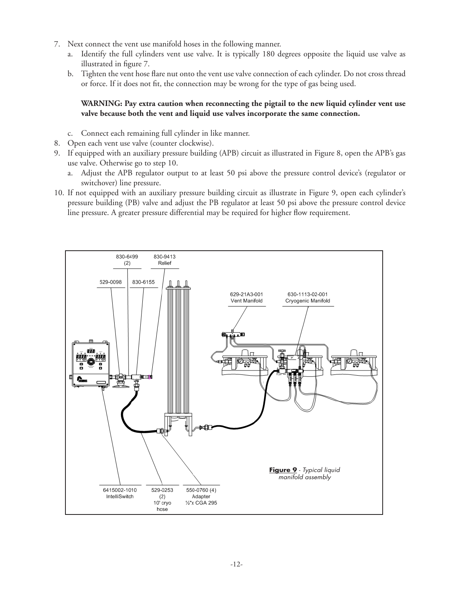- 7. Next connect the vent use manifold hoses in the following manner.
	- a. Identify the full cylinders vent use valve. It is typically 180 degrees opposite the liquid use valve as illustrated in figure 7.
	- b. Tighten the vent hose flare nut onto the vent use valve connection of each cylinder. Do not cross thread or force. If it does not fit, the connection may be wrong for the type of gas being used.

#### **WARNING: Pay extra caution when reconnecting the pigtail to the new liquid cylinder vent use valve because both the vent and liquid use valves incorporate the same connection.**

- c. Connect each remaining full cylinder in like manner.
- 8. Open each vent use valve (counter clockwise).
- 9. If equipped with an auxiliary pressure building (APB) circuit as illustrated in Figure 8, open the APB's gas use valve. Otherwise go to step 10.
	- a. Adjust the APB regulator output to at least 50 psi above the pressure control device's (regulator or switchover) line pressure.
- 10. If not equipped with an auxiliary pressure building circuit as illustrate in Figure 9, open each cylinder's pressure building (PB) valve and adjust the PB regulator at least 50 psi above the pressure control device line pressure. A greater pressure differential may be required for higher flow requirement.

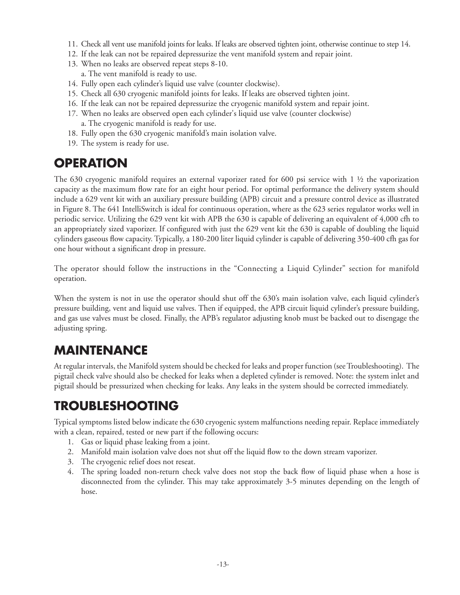- 11. Check all vent use manifold joints for leaks. If leaks are observed tighten joint, otherwise continue to step 14.
- 12. If the leak can not be repaired depressurize the vent manifold system and repair joint.
- 13. When no leaks are observed repeat steps 8-10. a. The vent manifold is ready to use.
- 14. Fully open each cylinder's liquid use valve (counter clockwise).
- 15. Check all 630 cryogenic manifold joints for leaks. If leaks are observed tighten joint.
- 16. If the leak can not be repaired depressurize the cryogenic manifold system and repair joint.
- 17. When no leaks are observed open each cylinder's liquid use valve (counter clockwise) a. The cryogenic manifold is ready for use.
- 18. Fully open the 630 cryogenic manifold's main isolation valve.
- 19. The system is ready for use.

## **OPERATION**

The 630 cryogenic manifold requires an external vaporizer rated for 600 psi service with 1 ½ the vaporization capacity as the maximum flow rate for an eight hour period. For optimal performance the delivery system should include a 629 vent kit with an auxiliary pressure building (APB) circuit and a pressure control device as illustrated in Figure 8. The 641 IntelliSwitch is ideal for continuous operation, where as the 623 series regulator works well in periodic service. Utilizing the 629 vent kit with APB the 630 is capable of delivering an equivalent of 4,000 cfh to an appropriately sized vaporizer. If configured with just the 629 vent kit the 630 is capable of doubling the liquid cylinders gaseous flow capacity. Typically, a 180-200 liter liquid cylinder is capable of delivering 350-400 cfh gas for one hour without a significant drop in pressure.

The operator should follow the instructions in the "Connecting a Liquid Cylinder" section for manifold operation.

When the system is not in use the operator should shut off the 630's main isolation valve, each liquid cylinder's pressure building, vent and liquid use valves. Then if equipped, the APB circuit liquid cylinder's pressure building, and gas use valves must be closed. Finally, the APB's regulator adjusting knob must be backed out to disengage the adjusting spring.

# **MAINTENANCE**

At regular intervals, the Manifold system should be checked for leaks and proper function (see Troubleshooting). The pigtail check valve should also be checked for leaks when a depleted cylinder is removed. Note: the system inlet and pigtail should be pressurized when checking for leaks. Any leaks in the system should be corrected immediately.

# **TROUBLESHOOTING**

Typical symptoms listed below indicate the 630 cryogenic system malfunctions needing repair. Replace immediately with a clean, repaired, tested or new part if the following occurs:

- 1. Gas or liquid phase leaking from a joint.
- 2. Manifold main isolation valve does not shut off the liquid flow to the down stream vaporizer.
- 3. The cryogenic relief does not reseat.
- 4. The spring loaded non-return check valve does not stop the back flow of liquid phase when a hose is disconnected from the cylinder. This may take approximately 3-5 minutes depending on the length of hose.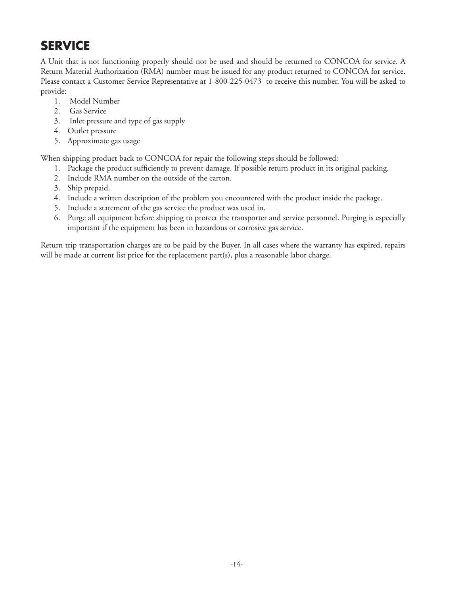# **SERVICE**

A Unit that is not functioning properly should not be used and should be returned to CONCOA for service. A Return Material Authorization (RMA) number must be issued for any product returned to CONCOA for service. Please contact a Customer Service Representative at 1-800-225-0473 to receive this number. You will be asked to provide:

- 1. Model Number
- 2. Gas Service
- 3. Inlet pressure and type of gas supply
- 4. Outlet pressure
- 5. Approximate gas usage

When shipping product back to CONCOA for repair the following steps should be followed:

- 1. Package the product sufficiently to prevent damage. If possible return product in its original packing.
- 2. Include RMA number on the outside of the carton.
- 3. Ship prepaid.
- 4. Include a written description of the problem you encountered with the product inside the package.
- 5. Include a statement of the gas service the product was used in.
- 6. Purge all equipment before shipping to protect the transporter and service personnel. Purging is especially important if the equipment has been in hazardous or corrosive gas service.

Return trip transportation charges are to be paid by the Buyer. In all cases where the warranty has expired, repairs will be made at current list price for the replacement part(s), plus a reasonable labor charge.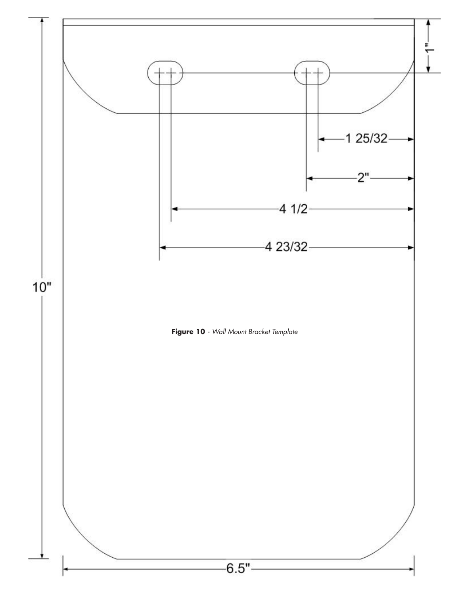